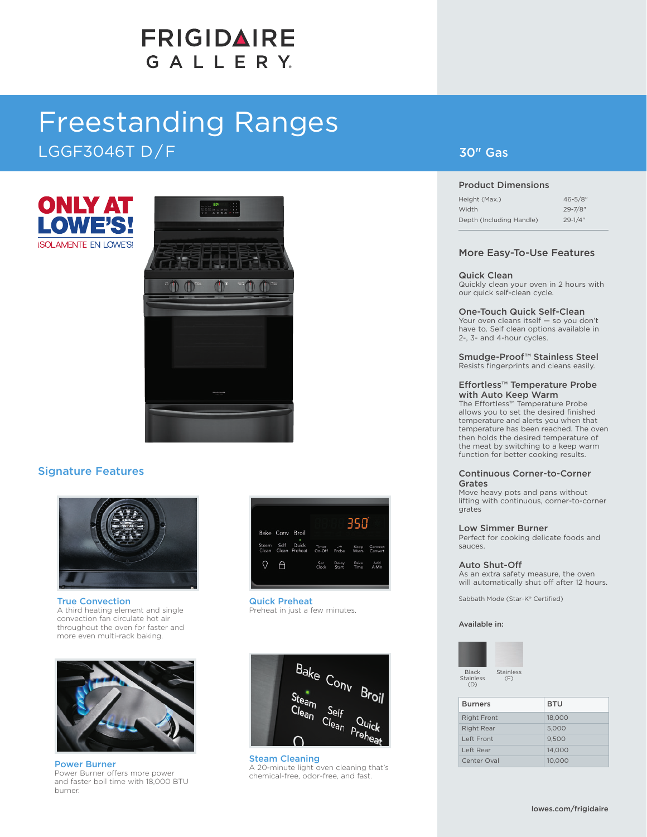# **FRIGIDAIRE** GALLERY.

# Freestanding Ranges LGGF3046T D / F





### Signature Features



True Convection A third heating element and single convection fan circulate hot air throughout the oven for faster and more even multi-rack baking.



Power Burner Power Burner offers more power and faster boil time with 18,000 BTU burner.

| Bake Conv Broil                                                       |                                   | 35           |                    |
|-----------------------------------------------------------------------|-----------------------------------|--------------|--------------------|
| ٠<br>Self<br>Quick<br>Steam<br>Timer<br>Clean Clean Preheat<br>On-Off | $\overline{\phantom{a}}$<br>Probe | Кеер<br>Warm | Convect<br>Convert |
| Set<br>Clock                                                          | Delay<br>Start                    | Bake<br>Time | Add<br>A Min       |

Quick Preheat Preheat in just a few minutes.



Steam Cleaning A 20-minute light oven cleaning that's chemical-free, odor-free, and fast.

### 30" Gas

#### Product Dimensions

| Height (Max.)            | $46 - 5/8$ " |
|--------------------------|--------------|
| Width                    | $29 - 7/8$ " |
| Depth (Including Handle) | $29 - 1/4$ " |

#### More Easy-To-Use Features

#### Quick Clean

Quickly clean your oven in 2 hours with our quick self-clean cycle.

One-Touch Quick Self-Clean Your oven cleans itself — so you don't have to. Self clean options available in 2-, 3- and 4-hour cycles.

Smudge-Proof™ Stainless Steel Resists fingerprints and cleans easily.

#### Effortless™ Temperature Probe with Auto Keep Warm

The Effortless™ Temperature Probe allows you to set the desired finished temperature and alerts you when that temperature has been reached. The oven then holds the desired temperature of the meat by switching to a keep warm function for better cooking results.

#### Continuous Corner-to-Corner Grates

Move heavy pots and pans without lifting with continuous, corner-to-corner grates

#### Low Simmer Burner

Perfect for cooking delicate foods and sauces.

#### Auto Shut-Off

As an extra safety measure, the oven will automatically shut off after 12 hours.

Sabbath Mode (Star-K® Certified)

Available in:



| <b>Burners</b>     | <b>BTU</b> |
|--------------------|------------|
| <b>Right Front</b> | 18,000     |
| <b>Right Rear</b>  | 5,000      |
| Left Front         | 9.500      |
| Left Rear          | 14,000     |
| Center Oval        | 10.000     |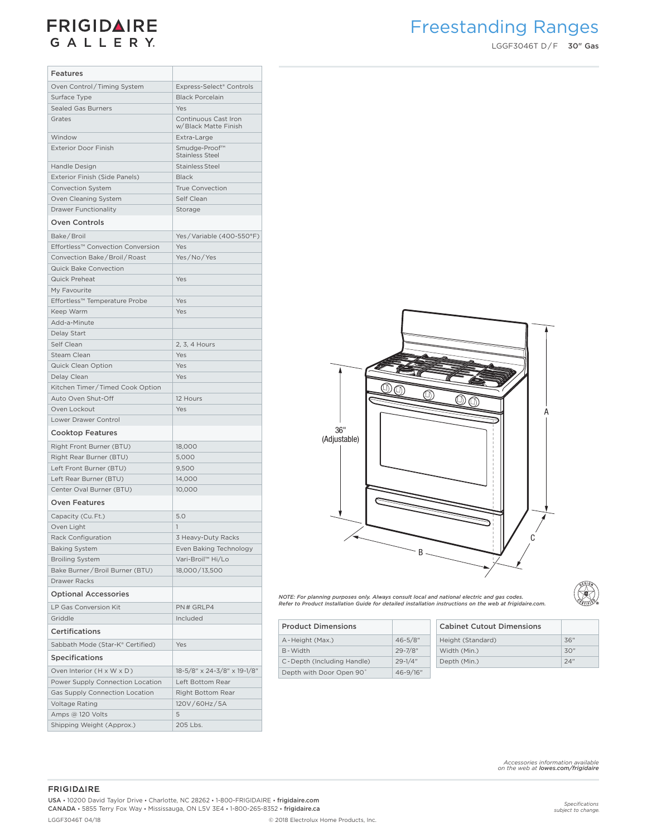## **FRIGIDAIRE** GALLERY.

# Freestanding Ranges

LGGF3046T D/F 30" Gas

| <b>Features</b>                                       |                                              |                                                                                                                                                                                                |             |                             |
|-------------------------------------------------------|----------------------------------------------|------------------------------------------------------------------------------------------------------------------------------------------------------------------------------------------------|-------------|-----------------------------|
| Oven Control/Timing System                            | Express-Select® Controls                     |                                                                                                                                                                                                |             |                             |
| Surface Type                                          | <b>Black Porcelain</b>                       |                                                                                                                                                                                                |             |                             |
| <b>Sealed Gas Burners</b>                             | Yes                                          |                                                                                                                                                                                                |             |                             |
| Grates                                                | Continuous Cast Iron<br>w/Black Matte Finish |                                                                                                                                                                                                |             |                             |
| Window                                                |                                              |                                                                                                                                                                                                |             |                             |
|                                                       | Extra-Large                                  |                                                                                                                                                                                                |             |                             |
| Exterior Door Finish                                  | Smudge-Proof™<br><b>Stainless Steel</b>      |                                                                                                                                                                                                |             |                             |
| Handle Design                                         | <b>Stainless Steel</b>                       |                                                                                                                                                                                                |             |                             |
| Exterior Finish (Side Panels)                         | <b>Black</b>                                 |                                                                                                                                                                                                |             |                             |
| Convection System                                     | <b>True Convection</b>                       |                                                                                                                                                                                                |             |                             |
| Oven Cleaning System                                  | Self Clean                                   |                                                                                                                                                                                                |             |                             |
| <b>Drawer Functionality</b>                           | Storage                                      |                                                                                                                                                                                                |             |                             |
| <b>Oven Controls</b>                                  |                                              |                                                                                                                                                                                                |             |                             |
| Bake/Broil                                            | Yes/Variable (400-550°F)                     |                                                                                                                                                                                                |             |                             |
| Effortless™ Convection Conversion                     | Yes                                          |                                                                                                                                                                                                |             |                             |
| Convection Bake/Broil/Roast                           | Yes/No/Yes                                   |                                                                                                                                                                                                |             |                             |
| Quick Bake Convection                                 |                                              |                                                                                                                                                                                                |             |                             |
| Quick Preheat                                         | Yes                                          |                                                                                                                                                                                                |             |                             |
| My Favourite                                          |                                              |                                                                                                                                                                                                |             |                             |
| Effortless™ Temperature Probe                         | Yes                                          |                                                                                                                                                                                                |             |                             |
| Keep Warm                                             | Yes                                          |                                                                                                                                                                                                |             |                             |
| Add-a-Minute                                          |                                              |                                                                                                                                                                                                |             |                             |
| Delay Start                                           |                                              |                                                                                                                                                                                                |             |                             |
| Self Clean                                            | 2, 3, 4 Hours                                |                                                                                                                                                                                                |             |                             |
| Steam Clean                                           | Yes                                          |                                                                                                                                                                                                |             |                             |
| Quick Clean Option                                    | Yes                                          |                                                                                                                                                                                                |             |                             |
| Delay Clean                                           | Yes                                          |                                                                                                                                                                                                |             |                             |
|                                                       |                                              |                                                                                                                                                                                                | ŒM.         |                             |
| Kitchen Timer/Timed Cook Option<br>Auto Oven Shut-Off | 12 Hours                                     |                                                                                                                                                                                                | Œ           |                             |
| Oven Lockout                                          | Yes                                          |                                                                                                                                                                                                |             | ⋒<br>⋒                      |
|                                                       |                                              |                                                                                                                                                                                                |             |                             |
| Lower Drawer Control                                  |                                              | 36"                                                                                                                                                                                            |             |                             |
| <b>Cooktop Features</b>                               |                                              | (Adjustable)                                                                                                                                                                                   |             |                             |
| Right Front Burner (BTU)                              | 18,000                                       |                                                                                                                                                                                                |             |                             |
| Right Rear Burner (BTU)                               | 5,000                                        |                                                                                                                                                                                                |             |                             |
| Left Front Burner (BTU)                               | 9,500                                        |                                                                                                                                                                                                |             |                             |
| Left Rear Burner (BTU)                                | 14,000                                       |                                                                                                                                                                                                |             |                             |
| Center Oval Burner (BTU)                              | 10,000                                       |                                                                                                                                                                                                |             |                             |
| <b>Oven Features</b>                                  |                                              |                                                                                                                                                                                                |             |                             |
| Capacity (Cu.Ft.)                                     | 5.0                                          |                                                                                                                                                                                                |             |                             |
| Oven Light                                            | $\mathbf{1}$                                 |                                                                                                                                                                                                |             |                             |
| Rack Configuration                                    | 3 Heavy-Duty Racks                           |                                                                                                                                                                                                |             |                             |
| <b>Baking System</b>                                  | Even Baking Technology                       |                                                                                                                                                                                                |             |                             |
| <b>Broiling System</b>                                | Vari-Broil™ Hi/Lo                            |                                                                                                                                                                                                | B -         |                             |
| Bake Burner / Broil Burner (BTU)                      | 18,000/13,500                                |                                                                                                                                                                                                |             |                             |
| Drawer Racks                                          |                                              |                                                                                                                                                                                                |             |                             |
| <b>Optional Accessories</b>                           |                                              |                                                                                                                                                                                                |             |                             |
|                                                       |                                              | NOTE: For planning purposes only. Always consult local and national electric and gas codes.<br>Refer to Product Installation Guide for detailed installation instructions on the web at frigid |             |                             |
| LP Gas Conversion Kit                                 | PN# GRLP4                                    |                                                                                                                                                                                                |             |                             |
| Griddle                                               | Included                                     | <b>Product Dimensions</b>                                                                                                                                                                      |             | <b>Cabinet Cutout Dimen</b> |
| Certifications                                        |                                              | A-Height (Max.)                                                                                                                                                                                | $46 - 5/8"$ | Height (Standard)           |
| Sabbath Mode (Star-K® Certified)                      | Yes                                          | B-Width                                                                                                                                                                                        | $29 - 7/8"$ | Width (Min.)                |
| <b>Specifications</b>                                 |                                              | C-Depth (Including Handle)                                                                                                                                                                     | $29 - 1/4"$ | Depth (Min.)                |
| Oven Interior (H x W x D)                             | 18-5/8" x 24-3/8" x 19-1/8"                  | Depth with Door Open 90°                                                                                                                                                                       | 46-9/16"    |                             |
| Power Supply Connection Location                      | Left Bottom Rear                             |                                                                                                                                                                                                |             |                             |
| Gas Supply Connection Location                        | Right Bottom Rear                            |                                                                                                                                                                                                |             |                             |
| Voltage Rating                                        | 120V/60Hz/5A                                 |                                                                                                                                                                                                |             |                             |
| Amps @ 120 Volts                                      | 5                                            |                                                                                                                                                                                                |             |                             |
| Shipping Weight (Approx.)                             | 205 Lbs.                                     |                                                                                                                                                                                                |             |                             |



DESIGN  $\begin{smallmatrix} \circledR \ \circledR \ \circledR \end{smallmatrix}$ 

| NOTE: For planning purposes only. Always consult local and national electric and gas codes. |                                                                                                          |
|---------------------------------------------------------------------------------------------|----------------------------------------------------------------------------------------------------------|
|                                                                                             |                                                                                                          |
|                                                                                             | Refer to Product Installation Guide for detailed installation instructions on the web at frigidaire.com. |

| <b>Product Dimensions</b>  |              | <b>Cabinet Cutout Dimensions</b> |
|----------------------------|--------------|----------------------------------|
| A - Height (Max.)          | $46 - 5/8$ " | 36"<br>Height (Standard)         |
| B-Width                    | 29-7/8"      | 30"<br>Width (Min.)              |
| C-Depth (Including Handle) | $29 - 1/4"$  | 24"<br>Depth (Min.)              |
| Depth with Door Open 90°   | 46-9/16"     |                                  |

*Accessories information available on the web at lowes.com/frigidaire*

#### **FRIGIDAIRE**

USA • 10200 David Taylor Drive • Charlotte, NC 28262 • 1-800-FRIGIDAIRE • frigidaire.com CANADA • 5855 Terry Fox Way • Mississauga, ON L5V 3E4 • 1-800-265-8352 • frigidaire.ca